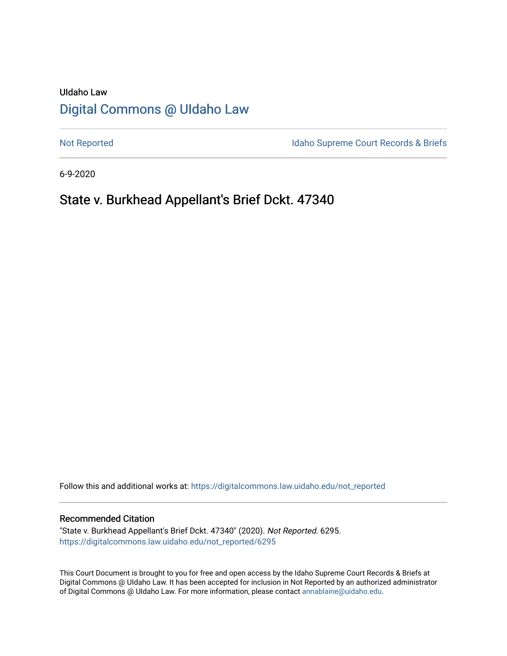# UIdaho Law [Digital Commons @ UIdaho Law](https://digitalcommons.law.uidaho.edu/)

[Not Reported](https://digitalcommons.law.uidaho.edu/not_reported) **Idaho Supreme Court Records & Briefs** 

6-9-2020

# State v. Burkhead Appellant's Brief Dckt. 47340

Follow this and additional works at: [https://digitalcommons.law.uidaho.edu/not\\_reported](https://digitalcommons.law.uidaho.edu/not_reported?utm_source=digitalcommons.law.uidaho.edu%2Fnot_reported%2F6295&utm_medium=PDF&utm_campaign=PDFCoverPages) 

#### Recommended Citation

"State v. Burkhead Appellant's Brief Dckt. 47340" (2020). Not Reported. 6295. [https://digitalcommons.law.uidaho.edu/not\\_reported/6295](https://digitalcommons.law.uidaho.edu/not_reported/6295?utm_source=digitalcommons.law.uidaho.edu%2Fnot_reported%2F6295&utm_medium=PDF&utm_campaign=PDFCoverPages)

This Court Document is brought to you for free and open access by the Idaho Supreme Court Records & Briefs at Digital Commons @ UIdaho Law. It has been accepted for inclusion in Not Reported by an authorized administrator of Digital Commons @ UIdaho Law. For more information, please contact [annablaine@uidaho.edu](mailto:annablaine@uidaho.edu).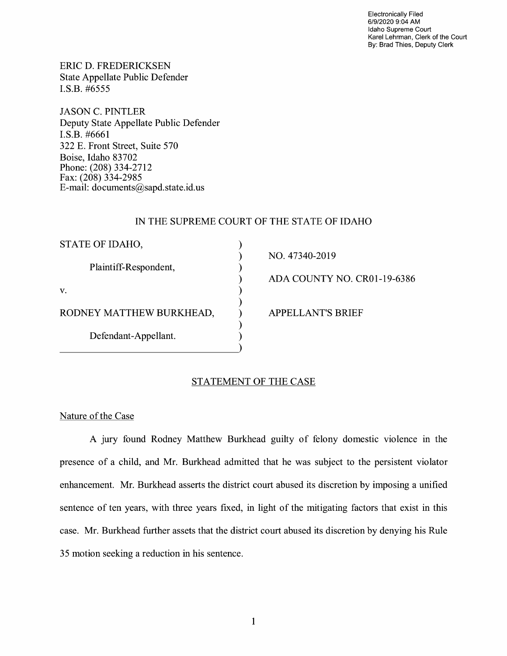Electronically Filed 6/9/2020 9:04 AM Idaho Supreme Court Karel Lehrman, Clerk of the Court By: Brad Thies, Deputy Clerk

ERIC D. FREDERICKSEN State Appellate Public Defender I.S.B. #6555

JASON C. PINTLER Deputy State Appellate Public Defender I.S.B. #6661 322 E. Front Street, Suite 570 Boise, Idaho 83702 Phone: (208) 334-2712 Fax: (208) 334-2985 E-mail: documents@sapd.state.id. us

## IN THE SUPREME COURT OF THE STATE OF IDAHO

) ) ) ) ) ) ) ) )

| STATE OF IDAHO,          |
|--------------------------|
| Plaintiff-Respondent,    |
| V.                       |
| RODNEY MATTHEW BURKHEAD, |
| Defendant-Appellant.     |

NO. 47340-2019

ADA COUNTY NO. CR0l-19-6386

APPELLANT'S BRIEF

## STATEMENT OF THE CASE

Nature of the Case

A jury found Rodney Matthew Burkhead guilty of felony domestic violence in the presence of a child, and Mr. Burkhead admitted that he was subject to the persistent violator enhancement. Mr. Burkhead asserts the district court abused its discretion by imposing a unified sentence of ten years, with three years fixed, in light of the mitigating factors that exist in this case. Mr. Burkhead further assets that the district court abused its discretion by denying his Rule 35 motion seeking a reduction in his sentence.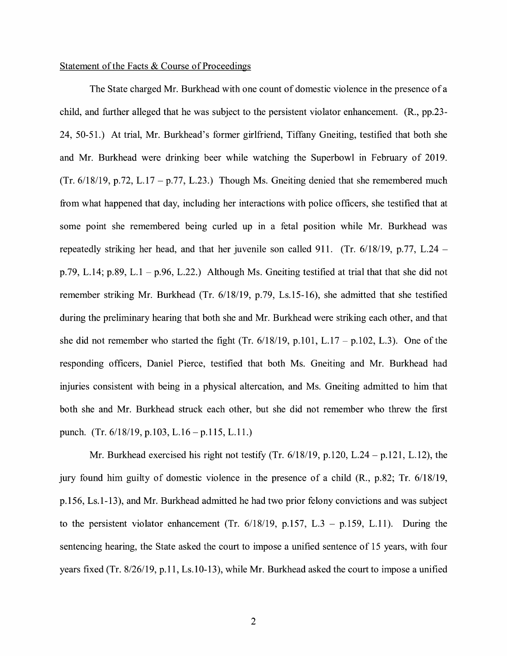#### Statement of the Facts & Course of Proceedings

The State charged Mr. Burkhead with one count of domestic violence in the presence of a child, and further alleged that he was subject to the persistent violator enhancement. (R., pp.23- 24, 50-51.) At trial, Mr. Burkhead's former girlfriend, Tiffany Gneiting, testified that both she and Mr. Burkhead were drinking beer while watching the Superbowl in February of 2019. (Tr.  $6/18/19$ , p.72, L.17 – p.77, L.23.) Though Ms. Gneiting denied that she remembered much from what happened that day, including her interactions with police officers, she testified that at some point she remembered being curled up in a fetal position while Mr. Burkhead was repeatedly striking her head, and that her juvenile son called 911. (Tr. 6/18/19, p.77, L.24 – p.79, L.14; p.89, L.1 – p.96, L.22.) Although Ms. Gneiting testified at trial that that she did not remember striking Mr. Burkhead (Tr. 6/18/19, p.79, Ls.15-16), she admitted that she testified during the preliminary hearing that both she and Mr. Burkhead were striking each other, and that she did not remember who started the fight (Tr.  $6/18/19$ , p.101, L.17 – p.102, L.3). One of the responding officers, Daniel Pierce, testified that both Ms. Gneiting and Mr. Burkhead had injuries consistent with being in a physical altercation, and Ms. Gneiting admitted to him that both she and Mr. Burkhead struck each other, but she did not remember who threw the first punch. (Tr. 6/18/19, p.103, L.16 – p.115, L.11.)

Mr. Burkhead exercised his right not testify (Tr. 6/18/19, p.120, L.24 - p.121, L.12), the jury found him guilty of domestic violence in the presence of a child (R., p.82; Tr. 6/18/19, p.156, Ls.1-13), and Mr. Burkhead admitted he had two prior felony convictions and was subject to the persistent violator enhancement (Tr.  $6/18/19$ , p.157, L.3 – p.159, L.11). During the sentencing hearing, the State asked the court to impose a unified sentence of 15 years, with four years fixed (Tr. 8/26/19, p.11, Ls.10-13), while Mr. Burkhead asked the court to impose a unified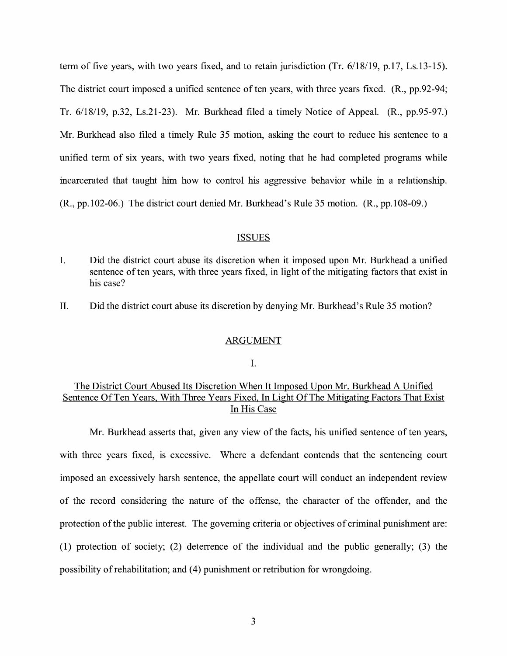term of five years, with two years fixed, and to retain jurisdiction (Tr. 6/18/19, p.17, Ls.13-15). The district court imposed a unified sentence of ten years, with three years fixed. (R., pp.92-94; Tr. 6/18/19, p.32, Ls.21-23). Mr. Burkhead filed a timely Notice of Appeal. (R., pp.95-97.) Mr. Burkhead also filed a timely Rule 35 motion, asking the court to reduce his sentence to a unified term of six years, with two years fixed, noting that he had completed programs while incarcerated that taught him how to control his aggressive behavior while in a relationship. (R., pp.102-06.) The district court denied Mr. Burkhead's Rule 35 motion. (R., pp.108-09.)

#### ISSUES

- I. Did the district court abuse its discretion when it imposed upon Mr. Burkhead a unified sentence of ten years, with three years fixed, in light of the mitigating factors that exist in his case?
- II. Did the district court abuse its discretion by denying Mr. Burkhead's Rule 35 motion?

#### ARGUMENT

### I.

## The District Court Abused Its Discretion When It Imposed Upon Mr. Burkhead A Unified Sentence Of Ten Years, With Three Years Fixed, In Light Of The Mitigating Factors That Exist In His Case

Mr. Burkhead asserts that, given any view of the facts, his unified sentence of ten years, with three years fixed, is excessive. Where a defendant contends that the sentencing court imposed an excessively harsh sentence, the appellate court will conduct an independent review of the record considering the nature of the offense, the character of the offender, and the protection of the public interest. The governing criteria or objectives of criminal punishment are: (1) protection of society; (2) deterrence of the individual and the public generally; (3) the possibility of rehabilitation; and (4) punishment or retribution for wrongdoing.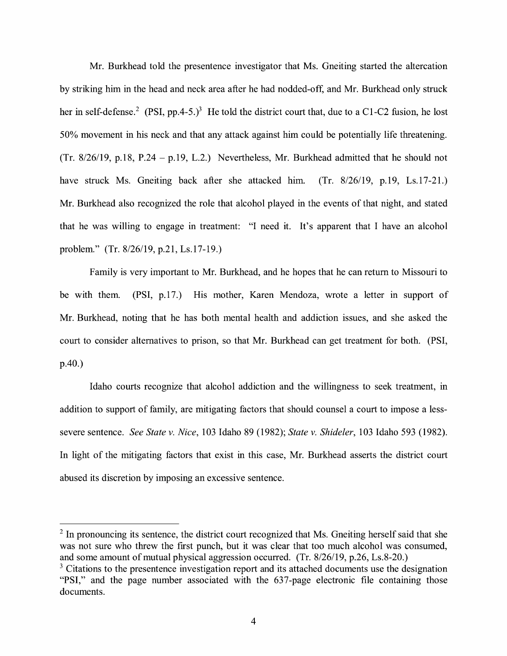Mr. Burkhead told the presentence investigator that Ms. Gneiting started the altercation by striking him in the head and neck area after he had nodded-off, and Mr. Burkhead only struck her in self-defense.<sup>2</sup> (PSI, pp.4-5.)<sup>3</sup> He told the district court that, due to a C1-C2 fusion, he lost 50% movement in his neck and that any attack against him could be potentially life threatening. (Tr.  $8/26/19$ , p.18, P.24 - p.19, L.2.) Nevertheless, Mr. Burkhead admitted that he should not have struck Ms. Gneiting back after she attacked him. (Tr. 8/26/19, p.19, Ls.17-21.) Mr. Burkhead also recognized the role that alcohol played in the events of that night, and stated that he was willing to engage in treatment: "I need it. It's apparent that I have an alcohol problem." (Tr. 8/26/19, p.21, Ls.17-19.)

Family is very important to Mr. Burkhead, and he hopes that he can return to Missouri to be with them. **(PSI,** p.17.) His mother, Karen Mendoza, wrote a letter in support of Mr. Burkhead, noting that he has both mental health and addiction issues, and she asked the court to consider alternatives to prison, so that Mr. Burkhead can get treatment for both. (PSI, p.40.)

Idaho courts recognize that alcohol addiction and the willingness to seek treatment, in addition to support of family, are mitigating factors that should counsel a court to impose a lesssevere sentence. *See State v. Nice,* 103 Idaho 89 (1982); *State v. Shideler,* 103 Idaho 593 (1982). In light of the mitigating factors that exist in this case, Mr. Burkhead asserts the district court abused its discretion by imposing an excessive sentence.

<sup>&</sup>lt;sup>2</sup> In pronouncing its sentence, the district court recognized that Ms. Gneiting herself said that she was not sure who threw the first punch, but it was clear that too much alcohol was consumed, and some amount of mutual physical aggression occurred. (Tr. 8/26/19, p.26, Ls.8-20.)

<sup>&</sup>lt;sup>3</sup> Citations to the presentence investigation report and its attached documents use the designation "PSI," and the page number associated with the 637-page electronic file containing those documents.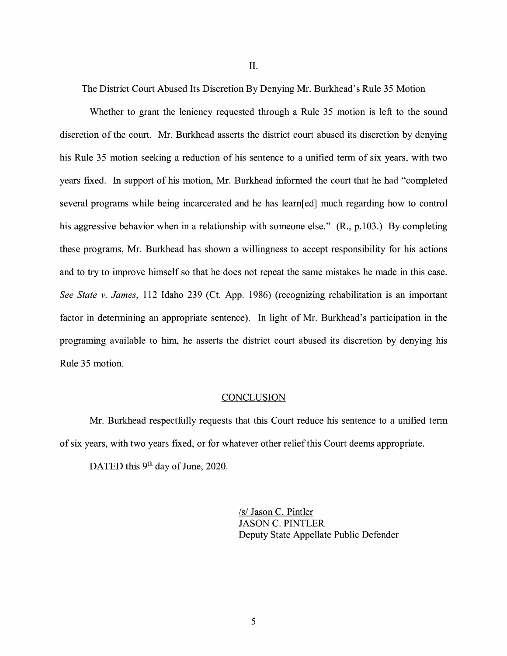II.

### The District Court Abused Its Discretion By Denying Mr. Burkhead's Rule 35 Motion

Whether to grant the leniency requested through a Rule 35 motion is left to the sound discretion of the court. Mr. Burkhead asserts the district court abused its discretion by denying his Rule 35 motion seeking a reduction of his sentence to a unified term of six years, with two years fixed. In support of his motion, Mr. Burkhead informed the court that he had "completed several programs while being incarcerated and he has learn[ed] much regarding how to control his aggressive behavior when in a relationship with someone else." (R., p.103.) By completing these programs, Mr. Burkhead has shown a willingness to accept responsibility for his actions and to try to improve himself so that he does not repeat the same mistakes he made in this case. *See State v. James,* 112 Idaho 239 (Ct. App. 1986) (recognizing rehabilitation is an important factor in determining an appropriate sentence). In light of Mr. Burkhead's participation in the programing available to him, he asserts the district court abused its discretion by denying his Rule 35 motion.

#### **CONCLUSION**

Mr. Burkhead respectfully requests that this Court reduce his sentence to a unified term of six years, with two years fixed, or for whatever other relief this Court deems appropriate.

DATED this 9<sup>th</sup> day of June, 2020.

/s/ Jason C. Pintler JASON C. PINTLER Deputy State Appellate Public Defender